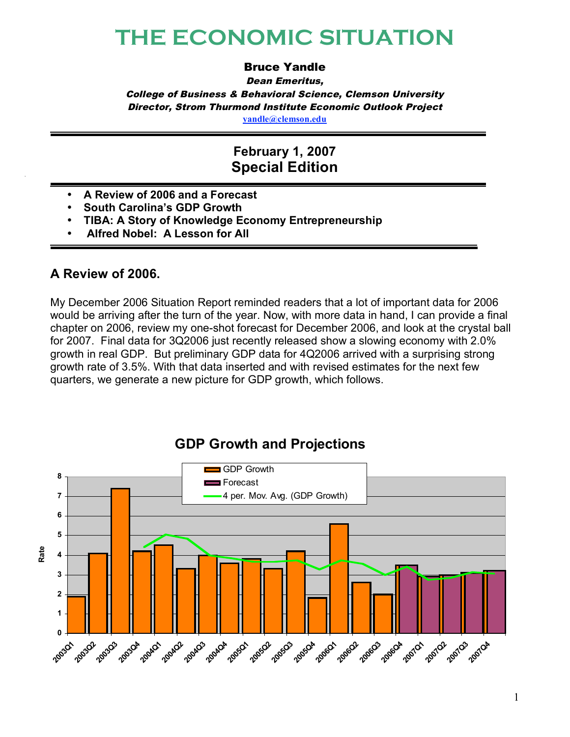# **THE ECONOMIC SITUATION**

#### Bruce Yandle

Dean Emeritus, College of Business & Behavioral Science, Clemson University Director, Strom Thurmond Institute Economic Outlook Project **yandle@clemson.edu**

## **February 1, 2007 Special Edition**

- **A Review of 2006 and a Forecast**
- **South Carolina's GDP Growth**
- **TIBA: A Story of Knowledge Economy Entrepreneurship**
- **Alfred Nobel: A Lesson for All**

#### **A Review of 2006.**

My December 2006 Situation Report reminded readers that a lot of important data for 2006 would be arriving after the turn of the year. Now, with more data in hand, I can provide a final chapter on 2006, review my one-shot forecast for December 2006, and look at the crystal ball for 2007. Final data for 3Q2006 just recently released show a slowing economy with 2.0% growth in real GDP. But preliminary GDP data for 4Q2006 arrived with a surprising strong growth rate of 3.5%. With that data inserted and with revised estimates for the next few quarters, we generate a new picture for GDP growth, which follows.



# **GDP Growth and Projections**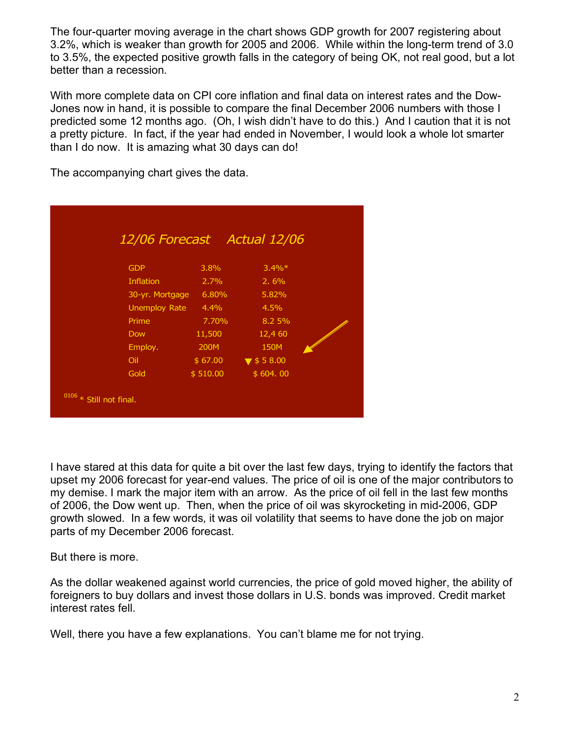The four-quarter moving average in the chart shows GDP growth for 2007 registering about 3.2%, which is weaker than growth for 2005 and 2006. While within the long-term trend of 3.0 to 3.5%, the expected positive growth falls in the category of being OK, not real good, but a lot better than a recession.

With more complete data on CPI core inflation and final data on interest rates and the Dow-Jones now in hand, it is possible to compare the final December 2006 numbers with those I predicted some 12 months ago. (Oh, I wish didn't have to do this.) And I caution that it is not a pretty picture. In fact, if the year had ended in November, I would look a whole lot smarter than I do now. It is amazing what 30 days can do!

The accompanying chart gives the data.

|                            |                      |          | 12/06 Forecast Actual 12/06   |  |
|----------------------------|----------------------|----------|-------------------------------|--|
|                            |                      |          |                               |  |
|                            | <b>GDP</b>           | $3.8\%$  | $3.4\%*$                      |  |
|                            | <b>Inflation</b>     | 2.7%     | 2.6%                          |  |
|                            | 30-yr. Mortgage      | 6.80%    | 5.82%                         |  |
|                            | <b>Unemploy Rate</b> | $4.4\%$  | 4.5%                          |  |
|                            | Prime                | 7.70%    | 8.2 5%                        |  |
|                            | <b>Dow</b>           | 11,500   | 12,4 60                       |  |
|                            | Employ.              | 200M     | 150M                          |  |
|                            | Oil                  | \$67.00  | $\blacktriangledown$ \$ 58.00 |  |
|                            | Gold                 | \$510.00 | \$604.00                      |  |
| $0106 * S$ till not final. |                      |          |                               |  |

I have stared at this data for quite a bit over the last few days, trying to identify the factors that upset my 2006 forecast for year-end values. The price of oil is one of the major contributors to my demise. I mark the major item with an arrow. As the price of oil fell in the last few months of 2006, the Dow went up. Then, when the price of oil was skyrocketing in mid-2006, GDP growth slowed. In a few words, it was oil volatility that seems to have done the job on major parts of my December 2006 forecast.

But there is more.

As the dollar weakened against world currencies, the price of gold moved higher, the ability of foreigners to buy dollars and invest those dollars in U.S. bonds was improved. Credit market interest rates fell.

Well, there you have a few explanations. You can't blame me for not trying.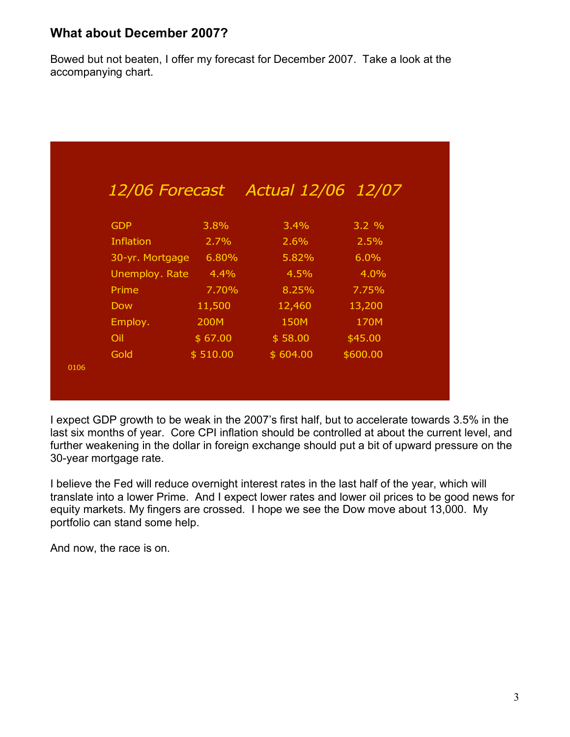#### **What about December 2007?**

Bowed but not beaten, I offer my forecast for December 2007. Take a look at the accompanying chart.

|                  |          | 12/06 Forecast Actual 12/06 12/07 |          |
|------------------|----------|-----------------------------------|----------|
| <b>GDP</b>       | $3.8\%$  | $3.4\%$                           | 3.2%     |
| <b>Inflation</b> | 2.7%     | 2.6%                              | 2.5%     |
| 30-yr. Mortgage  | 6.80%    | 5.82%                             | $6.0\%$  |
| Unemploy. Rate   | $-4.4\%$ | 4.5%                              | 4.0%     |
| Prime            | 7.70%    | 8.25%                             | 7.75%    |
| <b>Dow</b>       | 11,500   | 12,460                            | 13,200   |
| Employ.          | 200M     | 150M                              | 170M     |
| Oil              | \$67.00  | \$58.00                           | \$45.00  |
| Gold             | \$510.00 | \$604.00                          | \$600.00 |

I expect GDP growth to be weak in the 2007's first half, but to accelerate towards 3.5% in the last six months of year. Core CPI inflation should be controlled at about the current level, and further weakening in the dollar in foreign exchange should put a bit of upward pressure on the 30-year mortgage rate.

I believe the Fed will reduce overnight interest rates in the last half of the year, which will translate into a lower Prime. And I expect lower rates and lower oil prices to be good news for equity markets. My fingers are crossed. I hope we see the Dow move about 13,000. My portfolio can stand some help.

And now, the race is on.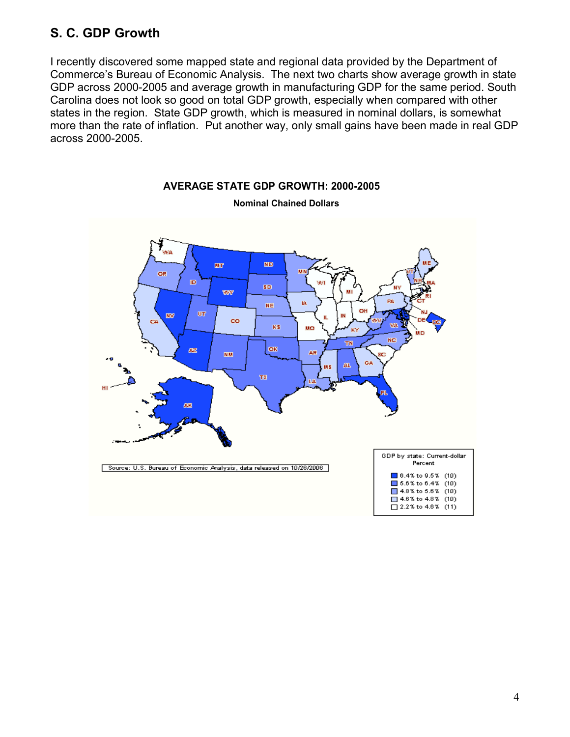#### **S. C. GDP Growth**

I recently discovered some mapped state and regional data provided by the Department of Commerce's Bureau of Economic Analysis. The next two charts show average growth in state GDP across 2000-2005 and average growth in manufacturing GDP for the same period. South Carolina does not look so good on total GDP growth, especially when compared with other states in the region. State GDP growth, which is measured in nominal dollars, is somewhat more than the rate of inflation. Put another way, only small gains have been made in real GDP across 2000-2005.



**Nominal Chained Dollars**

**AVERAGE STATE GDP GROWTH: 2000-2005**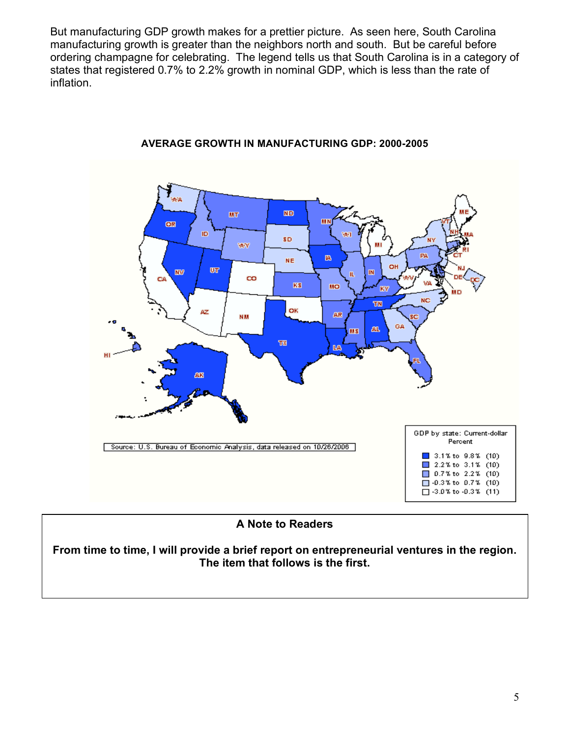But manufacturing GDP growth makes for a prettier picture. As seen here, South Carolina manufacturing growth is greater than the neighbors north and south. But be careful before ordering champagne for celebrating. The legend tells us that South Carolina is in a category of states that registered 0.7% to 2.2% growth in nominal GDP, which is less than the rate of inflation.



#### **AVERAGE GROWTH IN MANUFACTURING GDP: 2000-2005**

## **A Note to the Readers A Note to Readers**

From time to time, I will provide a brief report on entrepreneurial ventures in the region. **The item here is the first. The item that follows is the first.**